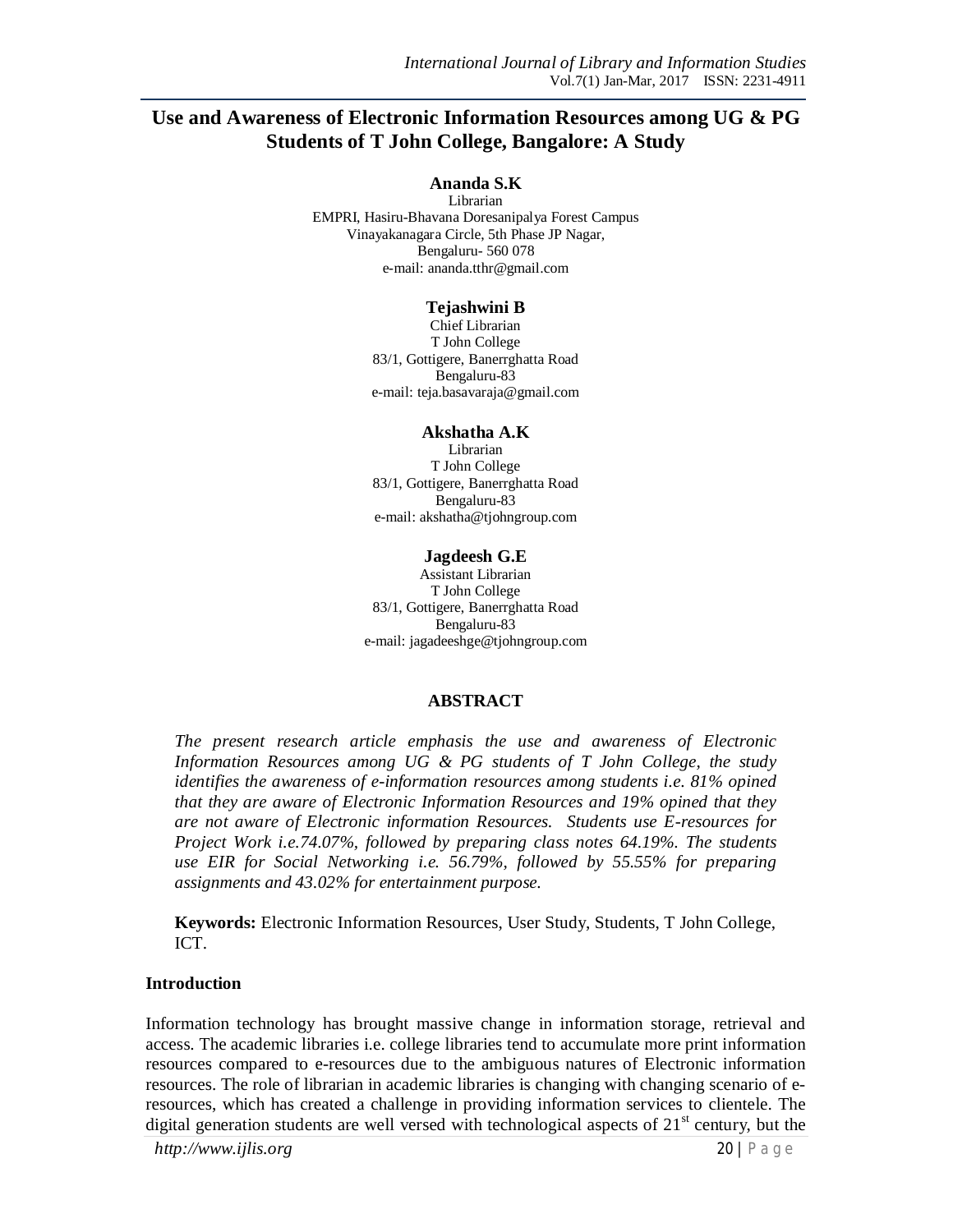# **Use and Awareness of Electronic Information Resources among UG & PG Students of T John College, Bangalore: A Study**

#### **Ananda S.K**

Librarian EMPRI, Hasiru-Bhavana Doresanipalya Forest Campus Vinayakanagara Circle, 5th Phase JP Nagar, Bengaluru- 560 078 e-mail: ananda.tthr@gmail.com

#### **Tejashwini B**

Chief Librarian T John College 83/1, Gottigere, Banerrghatta Road Bengaluru-83 e-mail: teja.basavaraja@gmail.com

#### **Akshatha A.K**

Librarian T John College 83/1, Gottigere, Banerrghatta Road Bengaluru-83 e-mail: akshatha@tjohngroup.com

#### **Jagdeesh G.E**

Assistant Librarian T John College 83/1, Gottigere, Banerrghatta Road Bengaluru-83 e-mail: jagadeeshge@tjohngroup.com

#### **ABSTRACT**

*The present research article emphasis the use and awareness of Electronic Information Resources among UG & PG students of T John College, the study identifies the awareness of e-information resources among students i.e. 81% opined that they are aware of Electronic Information Resources and 19% opined that they are not aware of Electronic information Resources. Students use E-resources for Project Work i.e.74.07%, followed by preparing class notes 64.19%. The students use EIR for Social Networking i.e. 56.79%, followed by 55.55% for preparing assignments and 43.02% for entertainment purpose.*

**Keywords:** Electronic Information Resources, User Study, Students, T John College, ICT.

#### **Introduction**

Information technology has brought massive change in information storage, retrieval and access. The academic libraries i.e. college libraries tend to accumulate more print information resources compared to e-resources due to the ambiguous natures of Electronic information resources. The role of librarian in academic libraries is changing with changing scenario of eresources, which has created a challenge in providing information services to clientele. The digital generation students are well versed with technological aspects of  $21<sup>st</sup>$  century, but the

*http://www.ijlis.org* 20 | P a g e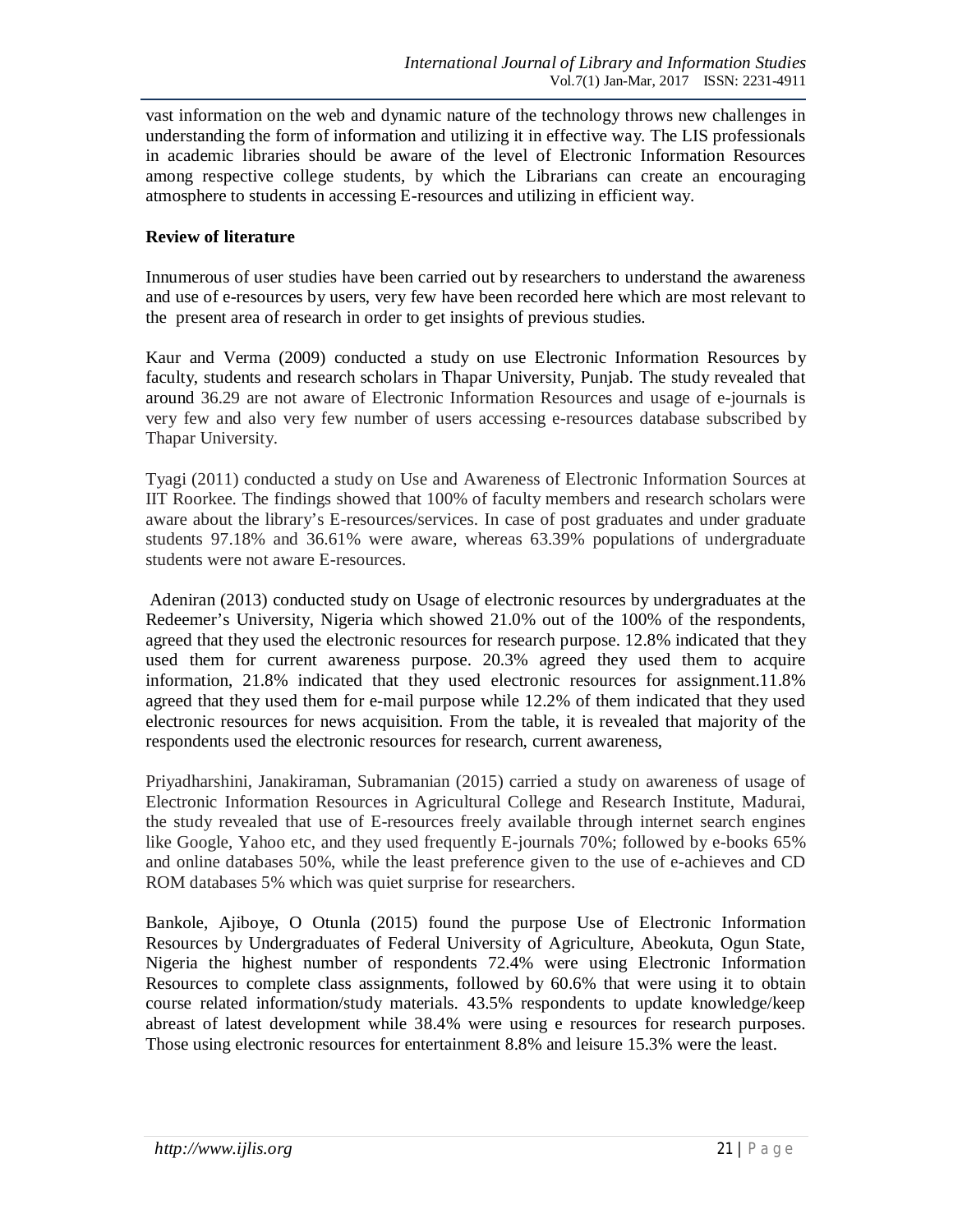vast information on the web and dynamic nature of the technology throws new challenges in understanding the form of information and utilizing it in effective way. The LIS professionals in academic libraries should be aware of the level of Electronic Information Resources among respective college students, by which the Librarians can create an encouraging atmosphere to students in accessing E-resources and utilizing in efficient way.

## **Review of literature**

Innumerous of user studies have been carried out by researchers to understand the awareness and use of e-resources by users, very few have been recorded here which are most relevant to the present area of research in order to get insights of previous studies.

Kaur and Verma (2009) conducted a study on use Electronic Information Resources by faculty, students and research scholars in Thapar University, Punjab. The study revealed that around 36.29 are not aware of Electronic Information Resources and usage of e-journals is very few and also very few number of users accessing e-resources database subscribed by Thapar University.

Tyagi (2011) conducted a study on Use and Awareness of Electronic Information Sources at IIT Roorkee. The findings showed that 100% of faculty members and research scholars were aware about the library's E-resources/services. In case of post graduates and under graduate students 97.18% and 36.61% were aware, whereas 63.39% populations of undergraduate students were not aware E-resources.

Adeniran (2013) conducted study on Usage of electronic resources by undergraduates at the Redeemer's University, Nigeria which showed 21.0% out of the 100% of the respondents, agreed that they used the electronic resources for research purpose. 12.8% indicated that they used them for current awareness purpose. 20.3% agreed they used them to acquire information, 21.8% indicated that they used electronic resources for assignment.11.8% agreed that they used them for e-mail purpose while 12.2% of them indicated that they used electronic resources for news acquisition. From the table, it is revealed that majority of the respondents used the electronic resources for research, current awareness,

Priyadharshini, Janakiraman, Subramanian (2015) carried a study on awareness of usage of Electronic Information Resources in Agricultural College and Research Institute, Madurai, the study revealed that use of E-resources freely available through internet search engines like Google, Yahoo etc, and they used frequently E-journals 70%; followed by e-books 65% and online databases 50%, while the least preference given to the use of e-achieves and CD ROM databases 5% which was quiet surprise for researchers.

Bankole, Ajiboye, O Otunla (2015) found the purpose Use of Electronic Information Resources by Undergraduates of Federal University of Agriculture, Abeokuta, Ogun State, Nigeria the highest number of respondents 72.4% were using Electronic Information Resources to complete class assignments, followed by 60.6% that were using it to obtain course related information/study materials. 43.5% respondents to update knowledge/keep abreast of latest development while 38.4% were using e resources for research purposes. Those using electronic resources for entertainment 8.8% and leisure 15.3% were the least.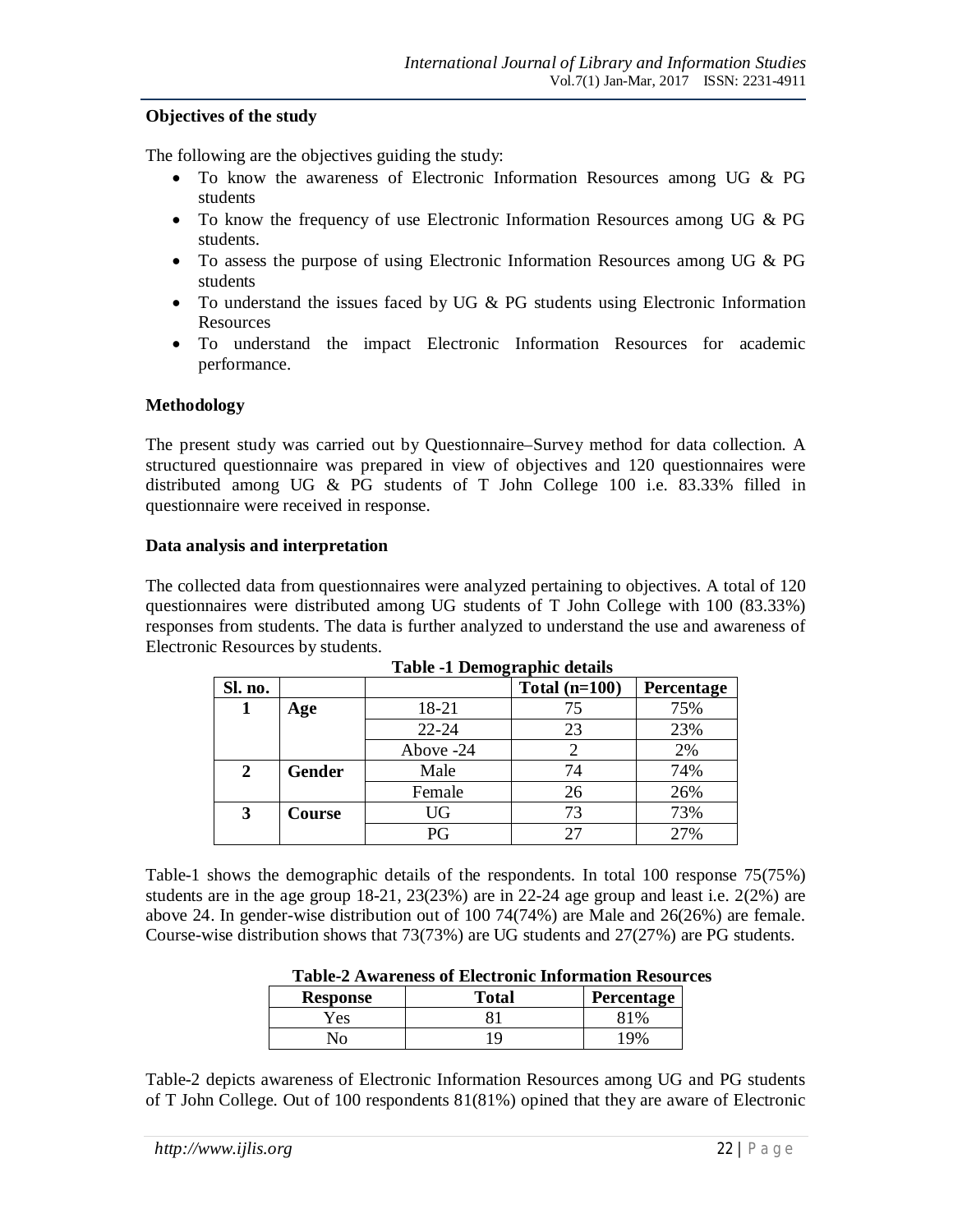## **Objectives of the study**

The following are the objectives guiding the study:

- To know the awareness of Electronic Information Resources among UG & PG students
- To know the frequency of use Electronic Information Resources among UG & PG students.
- To assess the purpose of using Electronic Information Resources among UG & PG students
- To understand the issues faced by UG  $\&$  PG students using Electronic Information Resources
- To understand the impact Electronic Information Resources for academic performance.

## **Methodology**

The present study was carried out by Questionnaire–Survey method for data collection. A structured questionnaire was prepared in view of objectives and 120 questionnaires were distributed among UG & PG students of T John College 100 i.e. 83.33% filled in questionnaire were received in response.

### **Data analysis and interpretation**

The collected data from questionnaires were analyzed pertaining to objectives. A total of 120 questionnaires were distributed among UG students of T John College with 100 (83.33%) responses from students. The data is further analyzed to understand the use and awareness of Electronic Resources by students.

| Sl. no. |               |           | Total $(n=100)$ | Percentage |
|---------|---------------|-----------|-----------------|------------|
|         | Age           | 18-21     | 75              | 75%        |
|         |               | $22 - 24$ | 23              | 23%        |
|         |               | Above -24 |                 | 2%         |
| 2       | <b>Gender</b> | Male      | 74              | 74%        |
|         |               | Female    | 26              | 26%        |
| 3       | Course        | UG        | 73              | 73%        |
|         |               | PG        | 27              | 27%        |

**Table -1 Demographic details**

Table-1 shows the demographic details of the respondents. In total 100 response 75(75%) students are in the age group  $18-21$ ,  $23(23%)$  are in 22-24 age group and least i.e.  $2(2%)$  are above 24. In gender-wise distribution out of 100 74(74%) are Male and 26(26%) are female. Course-wise distribution shows that 73(73%) are UG students and 27(27%) are PG students.

| <b>Table-2 Awareness of Electronic Information Resources</b> |       |                   |  |  |
|--------------------------------------------------------------|-------|-------------------|--|--|
| <b>Response</b>                                              | Total | <b>Percentage</b> |  |  |
| Yes                                                          |       | 81%               |  |  |
| N٥                                                           | Q     | 19%               |  |  |

| <b>Table-2 Awareness of Electronic Information Resources</b> |  |
|--------------------------------------------------------------|--|
|                                                              |  |

Table-2 depicts awareness of Electronic Information Resources among UG and PG students of T John College. Out of 100 respondents 81(81%) opined that they are aware of Electronic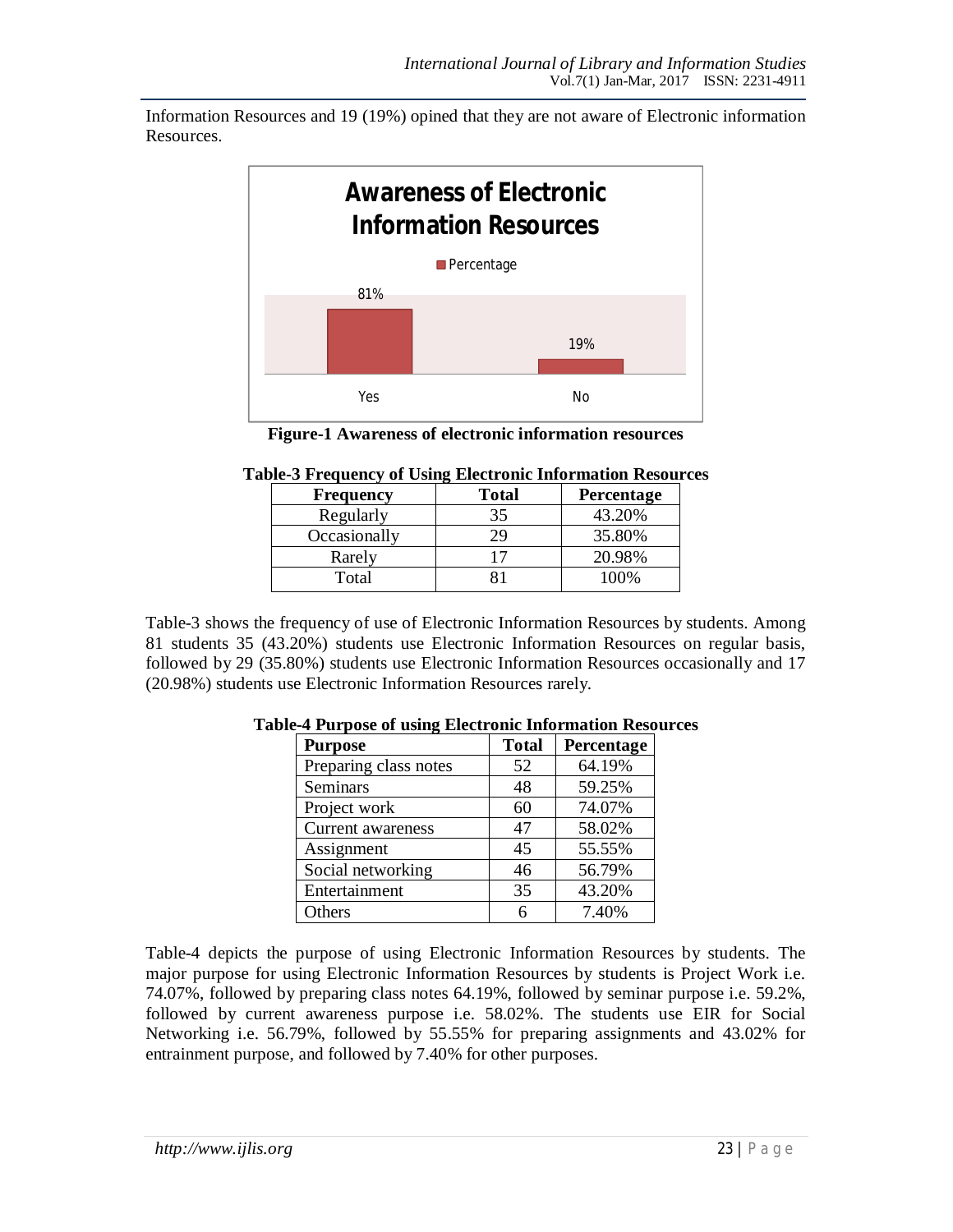Information Resources and 19 (19%) opined that they are not aware of Electronic information Resources.



|  |  |  | <b>Figure-1 Awareness of electronic information resources</b> |  |
|--|--|--|---------------------------------------------------------------|--|
|--|--|--|---------------------------------------------------------------|--|

| <b>Frequency</b> | <b>Total</b> | <b>Percentage</b> |
|------------------|--------------|-------------------|
| Regularly        | 35           | 43.20%            |
| Occasionally     |              | 35.80%            |
| Rarely           |              | 20.98%            |
| Total            |              | 100%              |

### **Table-3 Frequency of Using Electronic Information Resources**

Table-3 shows the frequency of use of Electronic Information Resources by students. Among 81 students 35 (43.20%) students use Electronic Information Resources on regular basis, followed by 29 (35.80%) students use Electronic Information Resources occasionally and 17 (20.98%) students use Electronic Information Resources rarely.

| <b>Purpose</b>        | <b>Total</b> | Percentage |
|-----------------------|--------------|------------|
| Preparing class notes | 52           | 64.19%     |
| Seminars              | 48           | 59.25%     |
| Project work          | 60           | 74.07%     |
| Current awareness     | 47           | 58.02%     |
| Assignment            | 45           | 55.55%     |
| Social networking     | 46           | 56.79%     |
| Entertainment         | 35           | 43.20%     |
| Others                |              | 7.40%      |

### **Table-4 Purpose of using Electronic Information Resources**

Table-4 depicts the purpose of using Electronic Information Resources by students. The major purpose for using Electronic Information Resources by students is Project Work i.e. 74.07%, followed by preparing class notes 64.19%, followed by seminar purpose i.e. 59.2%, followed by current awareness purpose i.e. 58.02%. The students use EIR for Social Networking i.e. 56.79%, followed by 55.55% for preparing assignments and 43.02% for entrainment purpose, and followed by 7.40% for other purposes.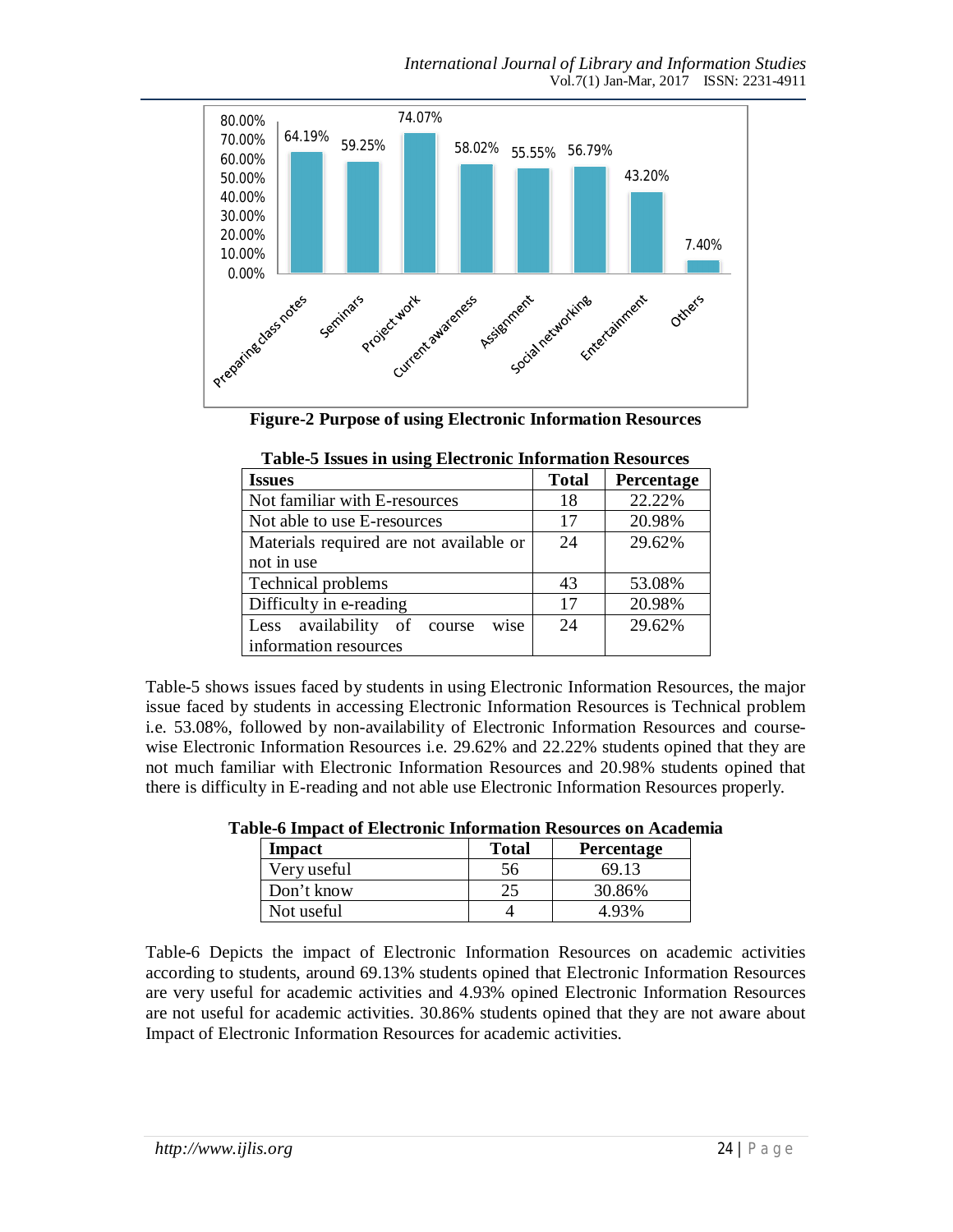

**Figure-2 Purpose of using Electronic Information Resources**

| <b>Issues</b>                           | <b>Total</b> | Percentage |
|-----------------------------------------|--------------|------------|
| Not familiar with E-resources           | 18           | 22.22%     |
| Not able to use E-resources             | 17           | 20.98%     |
| Materials required are not available or | 24           | 29.62%     |
| not in use                              |              |            |
| <b>Technical problems</b>               | 43           | 53.08%     |
| Difficulty in e-reading                 | 17           | 20.98%     |
| wise<br>Less availability of course     | 24           | 29.62%     |
| information resources                   |              |            |

| <b>Table-5 Issues in using Electronic Information Resources</b> |
|-----------------------------------------------------------------|
|-----------------------------------------------------------------|

Table-5 shows issues faced by students in using Electronic Information Resources, the major issue faced by students in accessing Electronic Information Resources is Technical problem i.e. 53.08%, followed by non-availability of Electronic Information Resources and coursewise Electronic Information Resources i.e. 29.62% and 22.22% students opined that they are not much familiar with Electronic Information Resources and 20.98% students opined that there is difficulty in E-reading and not able use Electronic Information Resources properly.

| Impact      | <b>Total</b> | <b>Percentage</b> |
|-------------|--------------|-------------------|
| Very useful | 56           | 69.13             |
| Don't know  |              | 30.86%            |
| Not useful  |              | 4 93%             |

**Table-6 Impact of Electronic Information Resources on Academia**

Table-6 Depicts the impact of Electronic Information Resources on academic activities according to students, around 69.13% students opined that Electronic Information Resources are very useful for academic activities and 4.93% opined Electronic Information Resources are not useful for academic activities. 30.86% students opined that they are not aware about Impact of Electronic Information Resources for academic activities.